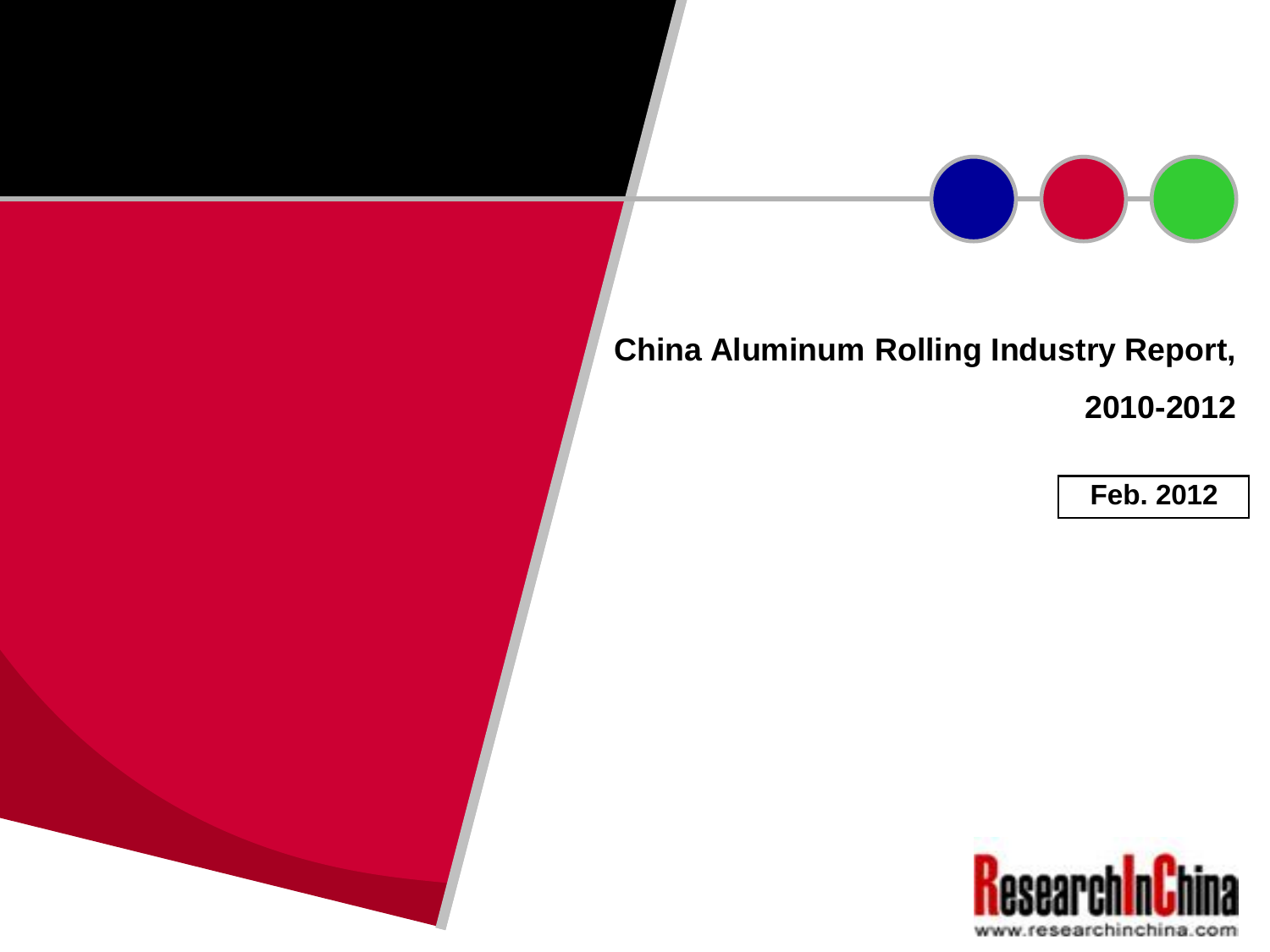## **China Aluminum Rolling Industry Report, 2010-2012**



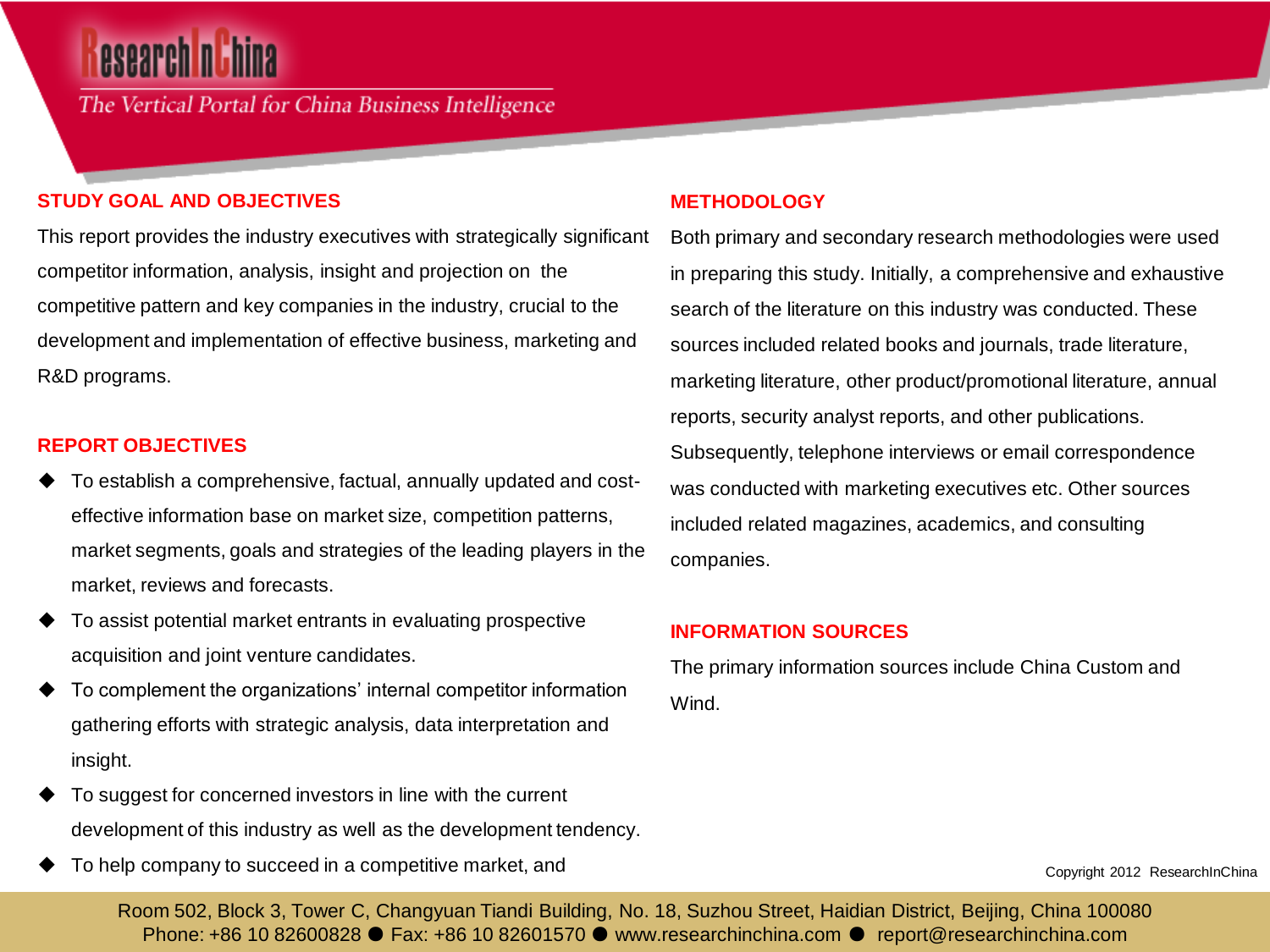## esearch **n** th

The Vertical Portal for China Business Intelligence

#### **STUDY GOAL AND OBJECTIVES**

This report provides the industry executives with strategically significant competitor information, analysis, insight and projection on the competitive pattern and key companies in the industry, crucial to the development and implementation of effective business, marketing and R&D programs.

#### **REPORT OBJECTIVES**

- To establish a comprehensive, factual, annually updated and costeffective information base on market size, competition patterns, market segments, goals and strategies of the leading players in the market, reviews and forecasts.
- To assist potential market entrants in evaluating prospective acquisition and joint venture candidates.
- To complement the organizations' internal competitor information gathering efforts with strategic analysis, data interpretation and insight.
- To suggest for concerned investors in line with the current development of this industry as well as the development tendency.
- To help company to succeed in a competitive market, and

#### **METHODOLOGY**

Both primary and secondary research methodologies were used in preparing this study. Initially, a comprehensive and exhaustive search of the literature on this industry was conducted. These sources included related books and journals, trade literature, marketing literature, other product/promotional literature, annual reports, security analyst reports, and other publications. Subsequently, telephone interviews or email correspondence was conducted with marketing executives etc. Other sources included related magazines, academics, and consulting companies.

#### **INFORMATION SOURCES**

The primary information sources include China Custom and Wind.

Copyright 2012 ResearchInChina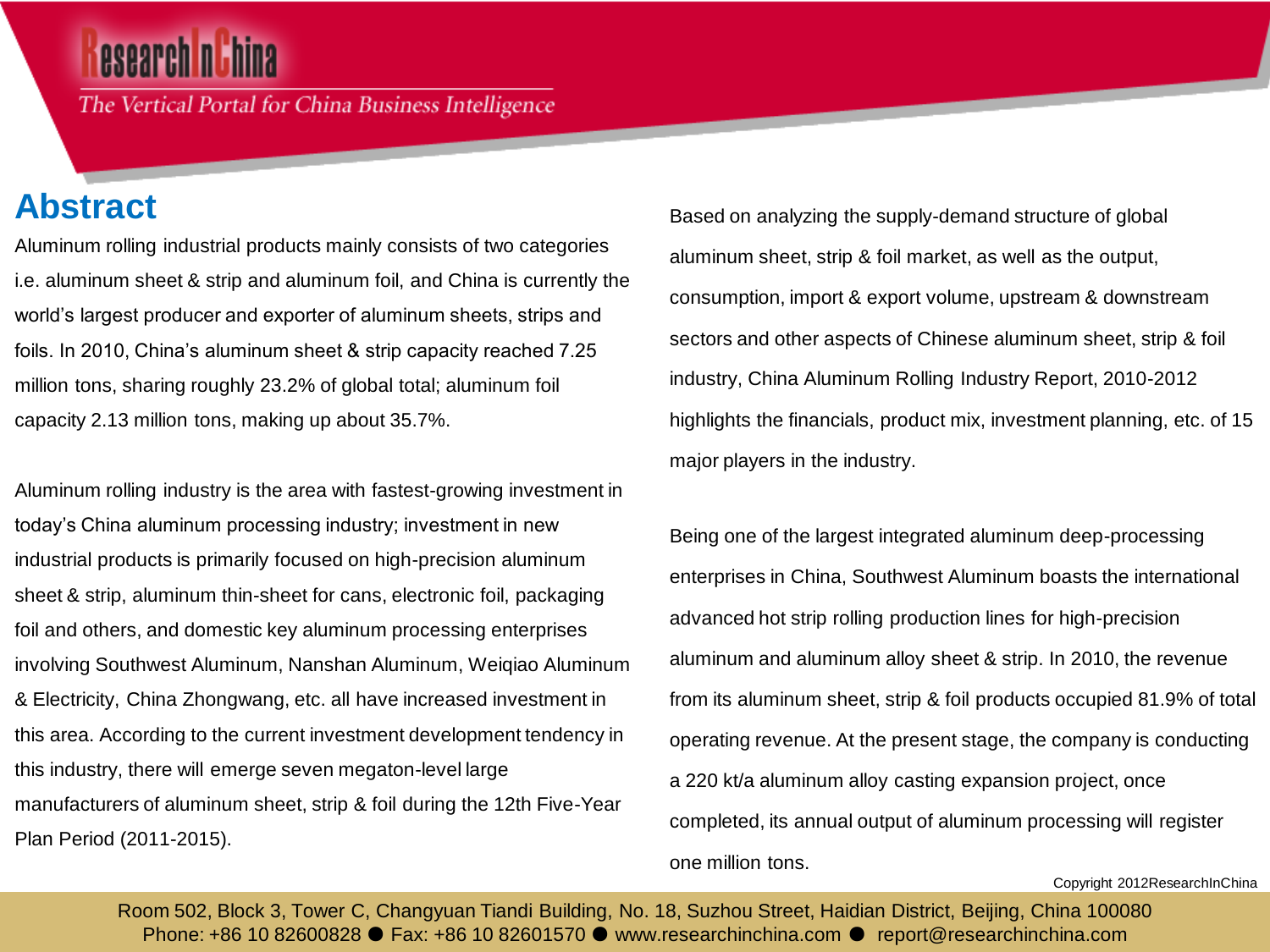## esearch nuhina

The Vertical Portal for China Business Intelligence

### **Abstract**

Aluminum rolling industrial products mainly consists of two categories i.e. aluminum sheet & strip and aluminum foil, and China is currently the world's largest producer and exporter of aluminum sheets, strips and foils. In 2010, China's aluminum sheet & strip capacity reached 7.25 million tons, sharing roughly 23.2% of global total; aluminum foil capacity 2.13 million tons, making up about 35.7%.

Aluminum rolling industry is the area with fastest-growing investment in today's China aluminum processing industry; investment in new industrial products is primarily focused on high-precision aluminum sheet & strip, aluminum thin-sheet for cans, electronic foil, packaging foil and others, and domestic key aluminum processing enterprises involving Southwest Aluminum, Nanshan Aluminum, Weiqiao Aluminum & Electricity, China Zhongwang, etc. all have increased investment in this area. According to the current investment development tendency in this industry, there will emerge seven megaton-level large manufacturers of aluminum sheet, strip & foil during the 12th Five-Year Plan Period (2011-2015).

Based on analyzing the supply-demand structure of global aluminum sheet, strip & foil market, as well as the output, consumption, import & export volume, upstream & downstream sectors and other aspects of Chinese aluminum sheet, strip & foil industry, China Aluminum Rolling Industry Report, 2010-2012 highlights the financials, product mix, investment planning, etc. of 15 major players in the industry.

Being one of the largest integrated aluminum deep-processing enterprises in China, Southwest Aluminum boasts the international advanced hot strip rolling production lines for high-precision aluminum and aluminum alloy sheet & strip. In 2010, the revenue from its aluminum sheet, strip & foil products occupied 81.9% of total operating revenue. At the present stage, the company is conducting a 220 kt/a aluminum alloy casting expansion project, once completed, its annual output of aluminum processing will register one million tons.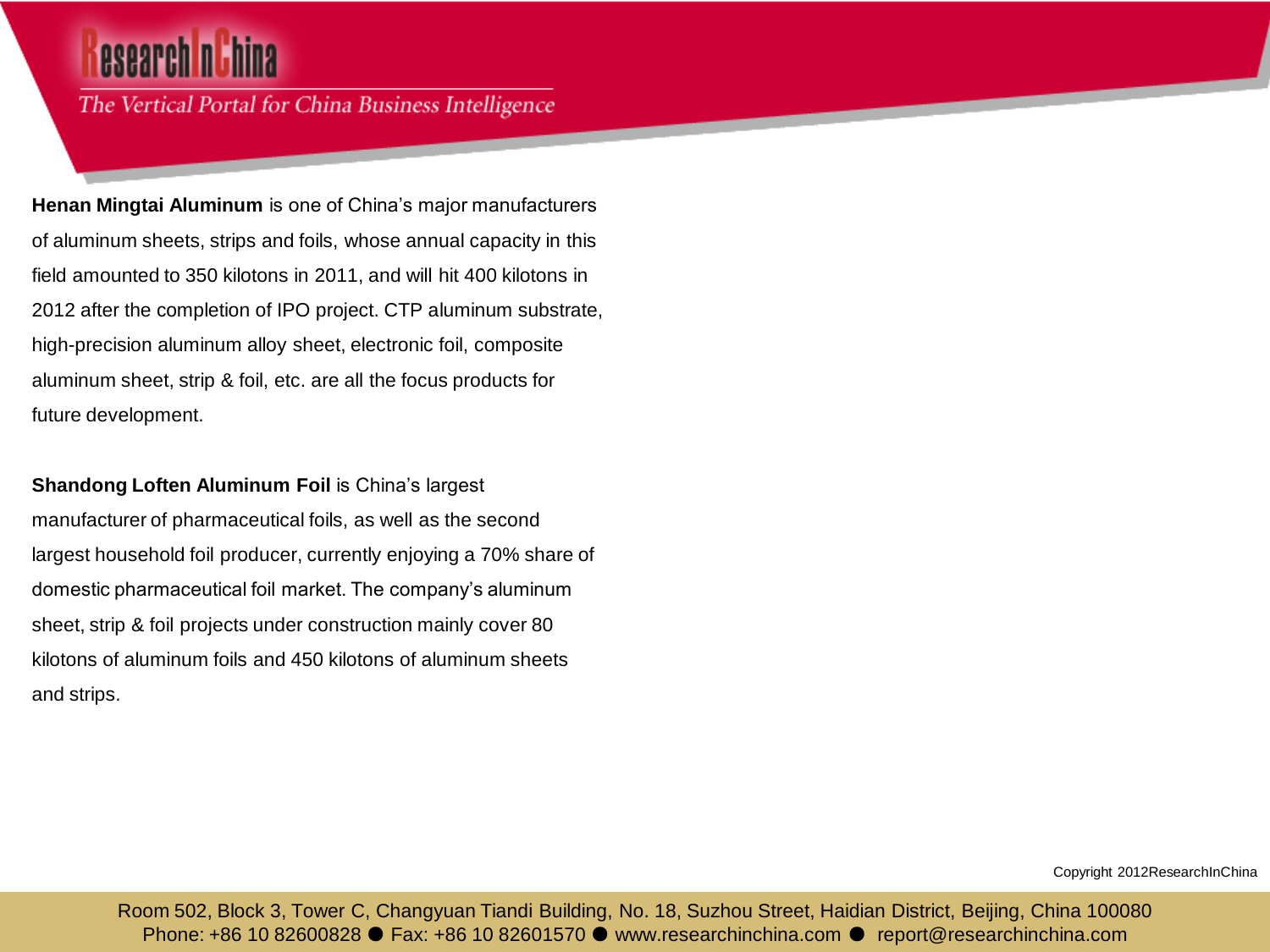## esearch n'hina

The Vertical Portal for China Business Intelligence

**Henan Mingtai Aluminum** is one of China's major manufacturers of aluminum sheets, strips and foils, whose annual capacity in this field amounted to 350 kilotons in 2011, and will hit 400 kilotons in 2012 after the completion of IPO project. CTP aluminum substrate, high-precision aluminum alloy sheet, electronic foil, composite aluminum sheet, strip & foil, etc. are all the focus products for future development.

#### **Shandong Loften Aluminum Foil** is China's largest

manufacturer of pharmaceutical foils, as well as the second largest household foil producer, currently enjoying a 70% share of domestic pharmaceutical foil market. The company's aluminum sheet, strip & foil projects under construction mainly cover 80 kilotons of aluminum foils and 450 kilotons of aluminum sheets and strips.

Copyright 2012ResearchInChina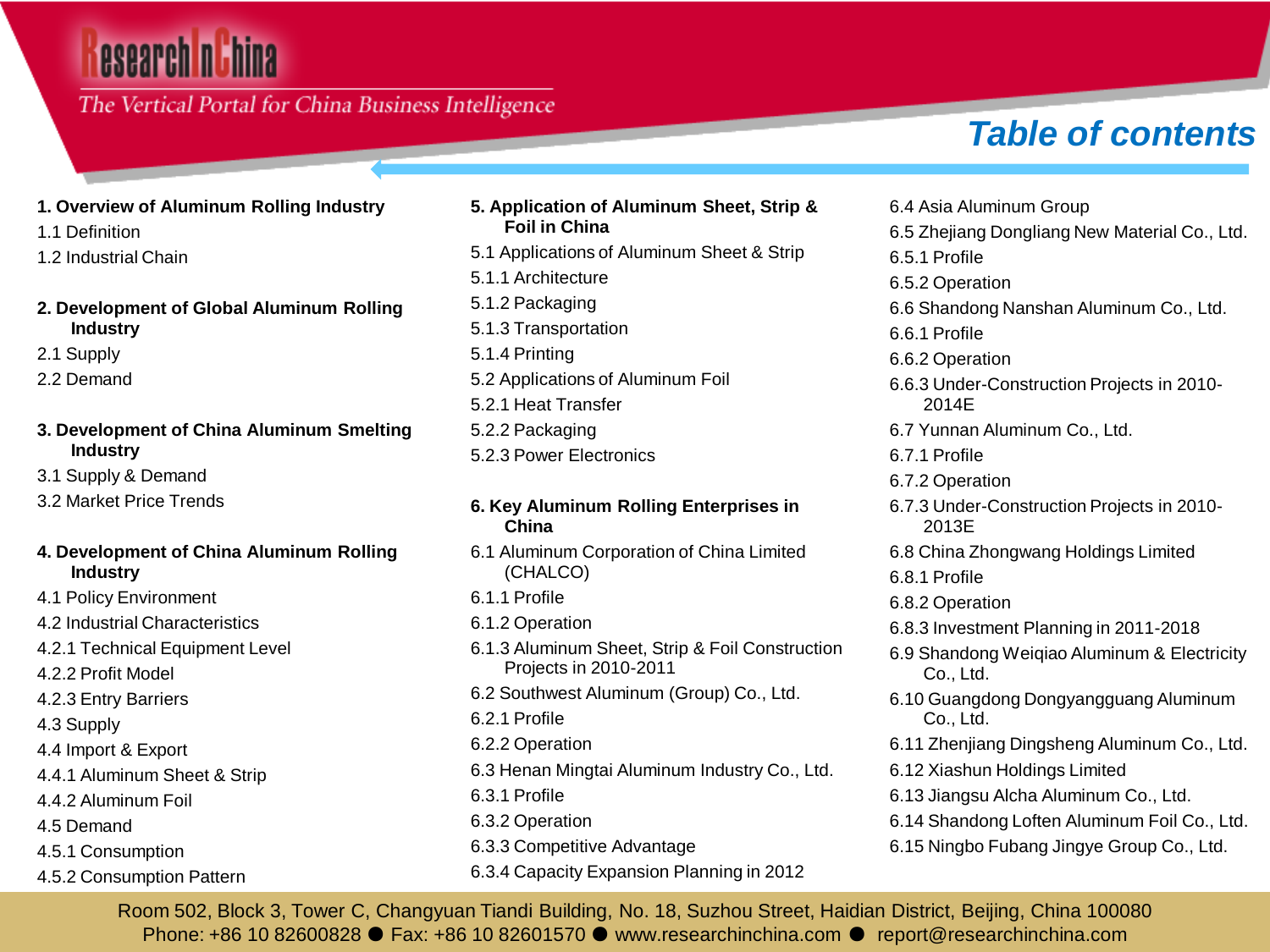# esearch nu hina

### The Vertical Portal for China Business Intelligence

### *Table of contents*

- **1. Overview of Aluminum Rolling Industry**
- 1.1 Definition
- 1.2 Industrial Chain
- **2. Development of Global Aluminum Rolling Industry**
- 2.1 Supply
- 2.2 Demand
- **3. Development of China Aluminum Smelting Industry**
- 3.1 Supply & Demand
- 3.2 Market Price Trends
- **4. Development of China Aluminum Rolling Industry**
- 4.1 Policy Environment
- 4.2 Industrial Characteristics
- 4.2.1 Technical Equipment Level
- 4.2.2 Profit Model
- 4.2.3 Entry Barriers
- 4.3 Supply
- 4.4 Import & Export
- 4.4.1 Aluminum Sheet & Strip
- 4.4.2 Aluminum Foil
- 4.5 Demand
- 4.5.1 Consumption
- 4.5.2 Consumption Pattern
- **5. Application of Aluminum Sheet, Strip & Foil in China**
- 5.1 Applications of Aluminum Sheet & Strip
- 5.1.1 Architecture
- 5.1.2 Packaging
- 5.1.3 Transportation
- 5.1.4 Printing
- 5.2 Applications of Aluminum Foil
- 5.2.1 Heat Transfer
- 5.2.2 Packaging
- 5.2.3 Power Electronics
- **6. Key Aluminum Rolling Enterprises in China**
- 6.1 Aluminum Corporation of China Limited (CHALCO)
- 6.1.1 Profile
- 6.1.2 Operation
- 6.1.3 Aluminum Sheet, Strip & Foil Construction Projects in 2010-2011
- 6.2 Southwest Aluminum (Group) Co., Ltd.
- 6.2.1 Profile
- 6.2.2 Operation
- 6.3 Henan Mingtai Aluminum Industry Co., Ltd.
- 6.3.1 Profile
- 6.3.2 Operation
- 6.3.3 Competitive Advantage
- 6.3.4 Capacity Expansion Planning in 2012

6.4 Asia Aluminum Group 6.5 Zhejiang Dongliang New Material Co., Ltd. 6.5.1 Profile 6.5.2 Operation 6.6 Shandong Nanshan Aluminum Co., Ltd. 6.6.1 Profile 6.6.2 Operation 6.6.3 Under-Construction Projects in 2010- 2014E 6.7 Yunnan Aluminum Co., Ltd. 6.7.1 Profile 6.7.2 Operation 6.7.3 Under-Construction Projects in 2010- 2013E 6.8 China Zhongwang Holdings Limited 6.8.1 Profile 6.8.2 Operation 6.8.3 Investment Planning in 2011-2018 6.9 Shandong Weiqiao Aluminum & Electricity Co., Ltd. 6.10 Guangdong Dongyangguang Aluminum Co., Ltd. 6.11 Zhenjiang Dingsheng Aluminum Co., Ltd. 6.12 Xiashun Holdings Limited 6.13 Jiangsu Alcha Aluminum Co., Ltd.

- 6.14 Shandong Loften Aluminum Foil Co., Ltd.
- 6.15 Ningbo Fubang Jingye Group Co., Ltd.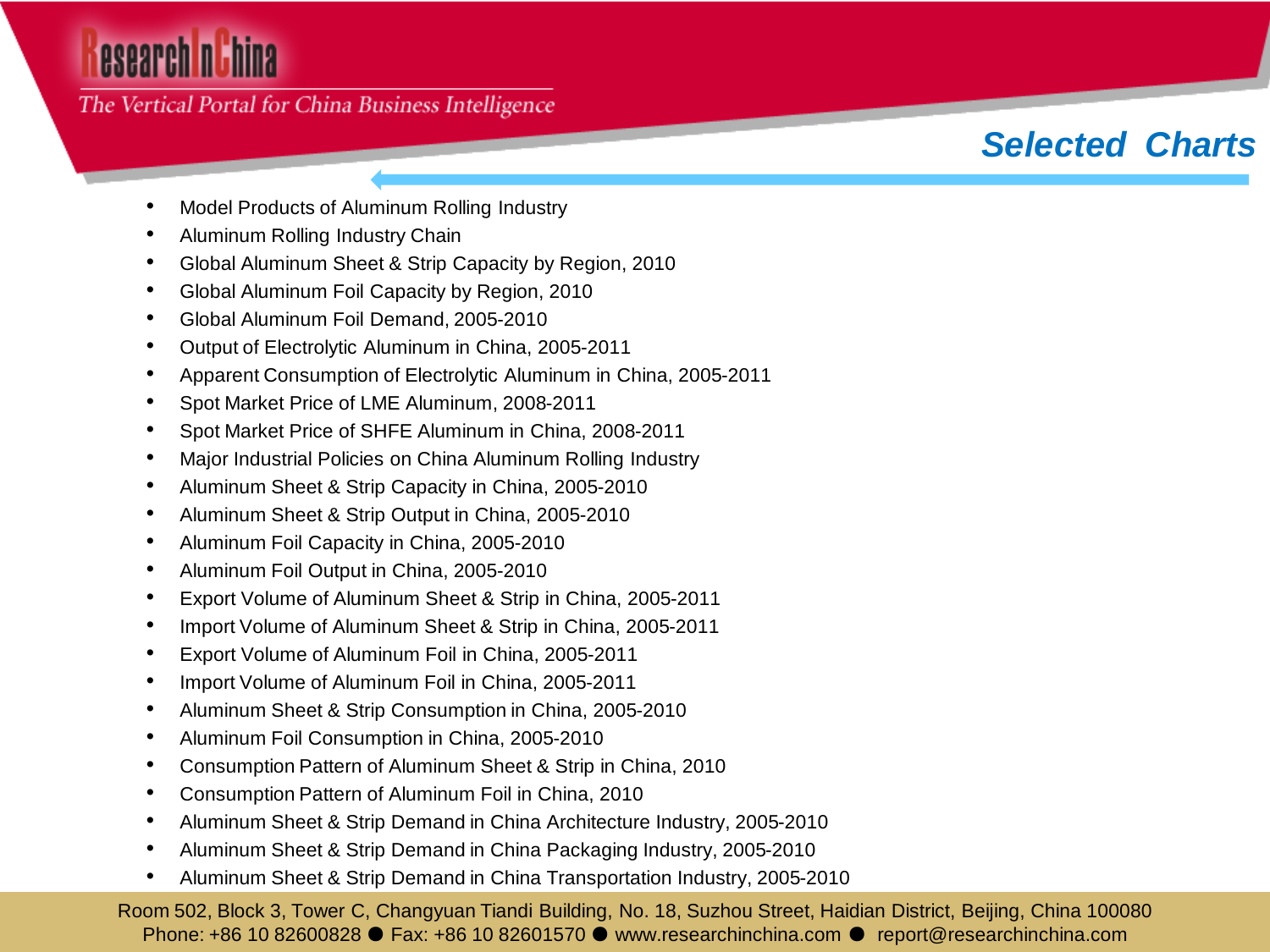# esearch nuhina

#### The Vertical Portal for China Business Intelligence

### *Selected Charts*

- Model Products of Aluminum Rolling Industry
- Aluminum Rolling Industry Chain
- Global Aluminum Sheet & Strip Capacity by Region, 2010
- Global Aluminum Foil Capacity by Region, 2010
- Global Aluminum Foil Demand, 2005-2010
- Output of Electrolytic Aluminum in China, 2005-2011
- Apparent Consumption of Electrolytic Aluminum in China, 2005-2011
- Spot Market Price of LME Aluminum, 2008-2011
- Spot Market Price of SHFE Aluminum in China, 2008-2011
- Major Industrial Policies on China Aluminum Rolling Industry
- Aluminum Sheet & Strip Capacity in China, 2005-2010
- Aluminum Sheet & Strip Output in China, 2005-2010
- Aluminum Foil Capacity in China, 2005-2010
- Aluminum Foil Output in China, 2005-2010
- Export Volume of Aluminum Sheet & Strip in China, 2005-2011
- Import Volume of Aluminum Sheet & Strip in China, 2005-2011
- Export Volume of Aluminum Foil in China, 2005-2011
- Import Volume of Aluminum Foil in China, 2005-2011
- Aluminum Sheet & Strip Consumption in China, 2005-2010
- Aluminum Foil Consumption in China, 2005-2010
- Consumption Pattern of Aluminum Sheet & Strip in China, 2010
- Consumption Pattern of Aluminum Foil in China, 2010
- Aluminum Sheet & Strip Demand in China Architecture Industry, 2005-2010
- Aluminum Sheet & Strip Demand in China Packaging Industry, 2005-2010
- Aluminum Sheet & Strip Demand in China Transportation Industry, 2005-2010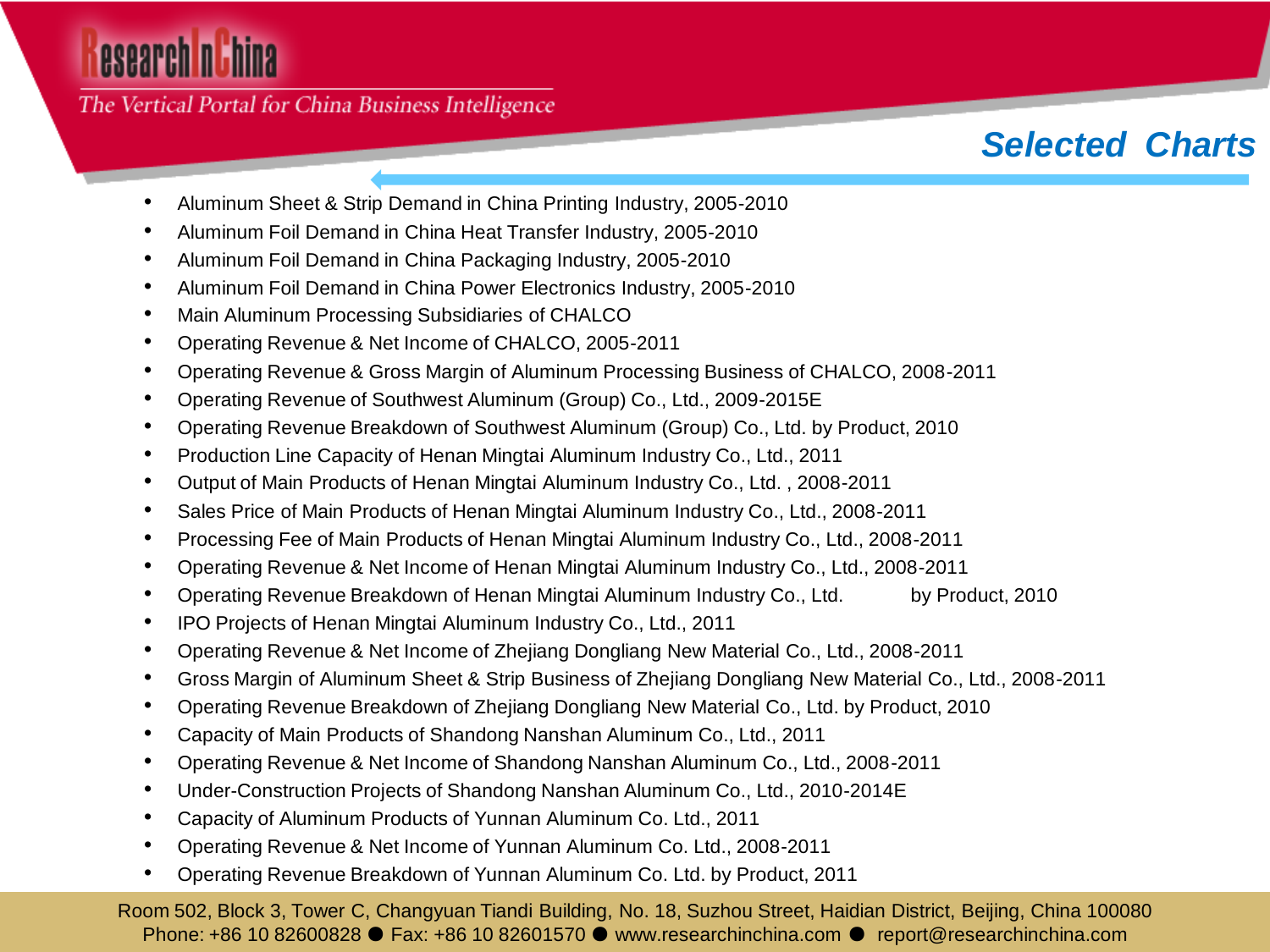## esearch nuhina

The Vertical Portal for China Business Intelligence

### *Selected Charts*

- Aluminum Sheet & Strip Demand in China Printing Industry, 2005-2010
- Aluminum Foil Demand in China Heat Transfer Industry, 2005-2010
- Aluminum Foil Demand in China Packaging Industry, 2005-2010
- Aluminum Foil Demand in China Power Electronics Industry, 2005-2010
- Main Aluminum Processing Subsidiaries of CHALCO
- Operating Revenue & Net Income of CHALCO, 2005-2011
- Operating Revenue & Gross Margin of Aluminum Processing Business of CHALCO, 2008-2011
- Operating Revenue of Southwest Aluminum (Group) Co., Ltd., 2009-2015E
- Operating Revenue Breakdown of Southwest Aluminum (Group) Co., Ltd. by Product, 2010
- Production Line Capacity of Henan Mingtai Aluminum Industry Co., Ltd., 2011
- Output of Main Products of Henan Mingtai Aluminum Industry Co., Ltd. , 2008-2011
- Sales Price of Main Products of Henan Mingtai Aluminum Industry Co., Ltd., 2008-2011
- Processing Fee of Main Products of Henan Mingtai Aluminum Industry Co., Ltd., 2008-2011
- Operating Revenue & Net Income of Henan Mingtai Aluminum Industry Co., Ltd., 2008-2011
- Operating Revenue Breakdown of Henan Mingtai Aluminum Industry Co., Ltd. by Product, 2010
- IPO Projects of Henan Mingtai Aluminum Industry Co., Ltd., 2011
- Operating Revenue & Net Income of Zhejiang Dongliang New Material Co., Ltd., 2008-2011
- Gross Margin of Aluminum Sheet & Strip Business of Zhejiang Dongliang New Material Co., Ltd., 2008-2011
- Operating Revenue Breakdown of Zhejiang Dongliang New Material Co., Ltd. by Product, 2010
- Capacity of Main Products of Shandong Nanshan Aluminum Co., Ltd., 2011
- Operating Revenue & Net Income of Shandong Nanshan Aluminum Co., Ltd., 2008-2011
- Under-Construction Projects of Shandong Nanshan Aluminum Co., Ltd., 2010-2014E
- Capacity of Aluminum Products of Yunnan Aluminum Co. Ltd., 2011
- Operating Revenue & Net Income of Yunnan Aluminum Co. Ltd., 2008-2011
- Operating Revenue Breakdown of Yunnan Aluminum Co. Ltd. by Product, 2011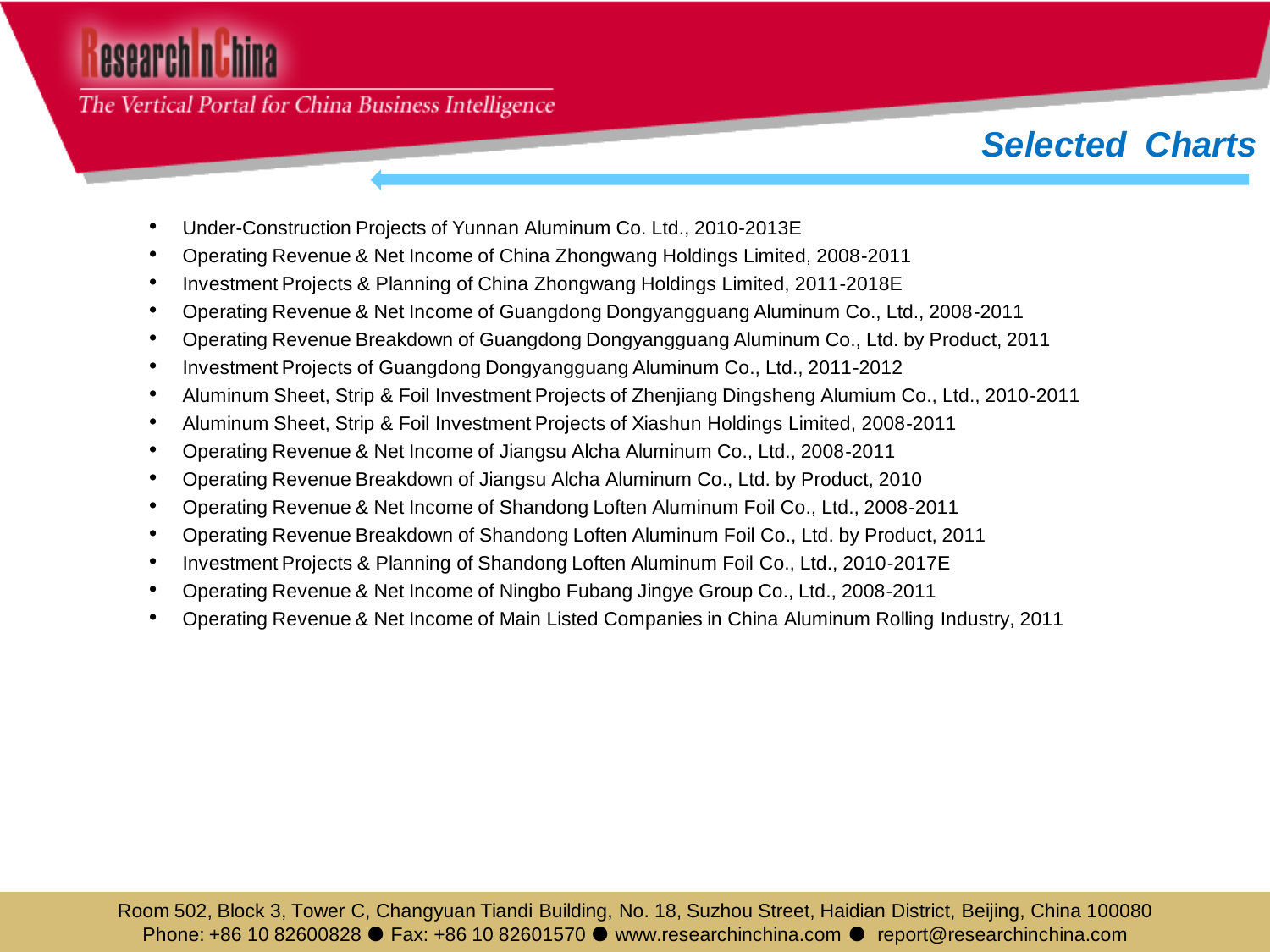# esearch n**ithina**

The Vertical Portal for China Business Intelligence

### *Selected Charts*

- Under-Construction Projects of Yunnan Aluminum Co. Ltd., 2010-2013E
- Operating Revenue & Net Income of China Zhongwang Holdings Limited, 2008-2011
- Investment Projects & Planning of China Zhongwang Holdings Limited, 2011-2018E
- Operating Revenue & Net Income of Guangdong Dongyangguang Aluminum Co., Ltd., 2008-2011
- Operating Revenue Breakdown of Guangdong Dongyangguang Aluminum Co., Ltd. by Product, 2011
- Investment Projects of Guangdong Dongyangguang Aluminum Co., Ltd., 2011-2012
- Aluminum Sheet, Strip & Foil Investment Projects of Zhenjiang Dingsheng Alumium Co., Ltd., 2010-2011
- Aluminum Sheet, Strip & Foil Investment Projects of Xiashun Holdings Limited, 2008-2011
- Operating Revenue & Net Income of Jiangsu Alcha Aluminum Co., Ltd., 2008-2011
- Operating Revenue Breakdown of Jiangsu Alcha Aluminum Co., Ltd. by Product, 2010
- Operating Revenue & Net Income of Shandong Loften Aluminum Foil Co., Ltd., 2008-2011
- Operating Revenue Breakdown of Shandong Loften Aluminum Foil Co., Ltd. by Product, 2011
- Investment Projects & Planning of Shandong Loften Aluminum Foil Co., Ltd., 2010-2017E
- Operating Revenue & Net Income of Ningbo Fubang Jingye Group Co., Ltd., 2008-2011
- Operating Revenue & Net Income of Main Listed Companies in China Aluminum Rolling Industry, 2011